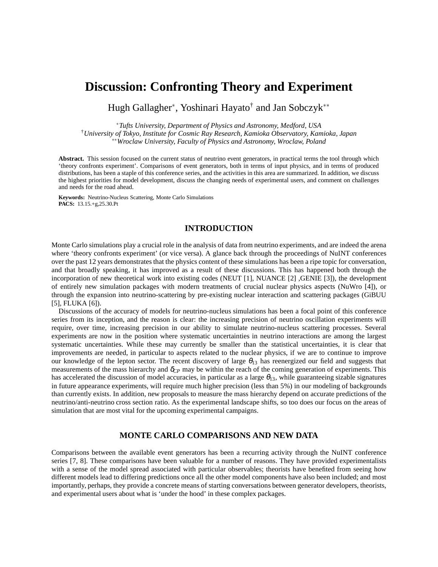# **Discussion: Confronting Theory and Experiment**

Hugh Gallagher<sup>∗</sup> , Yoshinari Hayato† and Jan Sobczyk∗∗

<sup>∗</sup>*Tufts University, Department of Physics and Astronomy, Medford, USA* †*University of Tokyo, Institute for Cosmic Ray Research, Kamioka Observatory, Kamioka, Japan* ∗∗*Wroclaw University, Faculty of Physics and Astronomy, Wroclaw, Poland*

**Abstract.** This session focused on the current status of neutrino event generators, in practical terms the tool through which 'theory confronts experiment'. Comparisons of event generators, both in terms of input physics, and in terms of produced distributions, has been a staple of this conference series, and the activities in this area are summarized. In addition, we discuss the highest priorities for model development, discuss the changing needs of experimental users, and comment on challenges and needs for the road ahead.

**Keywords:** Neutrino-Nucleus Scattering, Monte Carlo Simulations **PACS:** 13.15.+g,25.30.Pt

# **INTRODUCTION**

Monte Carlo simulations play a crucial role in the analysis of data from neutrino experiments, and are indeed the arena where 'theory confronts experiment' (or vice versa). A glance back through the proceedings of NuINT conferences over the past 12 years demonstrates that the physics content of these simulations has been a ripe topic for conversation, and that broadly speaking, it has improved as a result of these discussions. This has happened both through the incorporation of new theoretical work into existing codes (NEUT [1], NUANCE [2] ,GENIE [3]), the development of entirely new simulation packages with modern treatments of crucial nuclear physics aspects (NuWro [4]), or through the expansion into neutrino-scattering by pre-existing nuclear interaction and scattering packages (GiBUU [5], FLUKA [6]).

Discussions of the accuracy of models for neutrino-nucleus simulations has been a focal point of this conference series from its inception, and the reason is clear: the increasing precision of neutrino oscillation experiments will require, over time, increasing precision in our ability to simulate neutrino-nucleus scattering processes. Several experiments are now in the position where systematic uncertainties in neutrino interactions are among the largest systematic uncertainties. While these may currently be smaller than the statistical uncertainties, it is clear that improvements are needed, in particular to aspects related to the nuclear physics, if we are to continue to improve our knowledge of the lepton sector. The recent discovery of large  $\theta_{13}$  has reenergized our field and suggests that measurements of the mass hierarchy and  $\delta_{CP}$  may be within the reach of the coming generation of experiments. This has accelerated the discussion of model accuracies, in particular as a large  $\theta_{13}$ , while guaranteeing sizable signatures in future appearance experiments, will require much higher precision (less than 5%) in our modeling of backgrounds than currently exists. In addition, new proposals to measure the mass hierarchy depend on accurate predictions of the neutrino/anti-neutrino cross section ratio. As the experimental landscape shifts, so too does our focus on the areas of simulation that are most vital for the upcoming experimental campaigns.

## **MONTE CARLO COMPARISONS AND NEW DATA**

Comparisons between the available event generators has been a recurring activity through the NuINT conference series [7, 8]. These comparisons have been valuable for a number of reasons. They have provided experimentalists with a sense of the model spread associated with particular observables; theorists have benefited from seeing how different models lead to differing predictions once all the other model components have also been included; and most importantly, perhaps, they provide a concrete means of starting conversations between generator developers, theorists, and experimental users about what is 'under the hood' in these complex packages.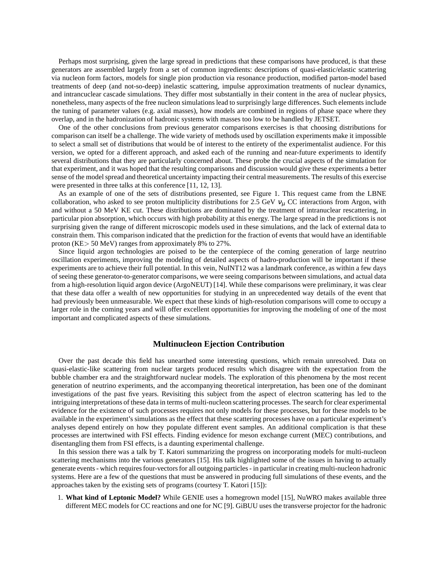Perhaps most surprising, given the large spread in predictions that these comparisons have produced, is that these generators are assembled largely from a set of common ingredients: descriptions of quasi-elastic/elastic scattering via nucleon form factors, models for single pion production via resonance production, modified parton-model based treatments of deep (and not-so-deep) inelastic scattering, impulse approximation treatments of nuclear dynamics, and intrancuclear cascade simulations. They differ most substantially in their content in the area of nuclear physics, nonetheless, many aspects of the free nucleon simulations lead to surprisingly large differences. Such elements include the tuning of parameter values (e.g. axial masses), how models are combined in regions of phase space where they overlap, and in the hadronization of hadronic systems with masses too low to be handled by JETSET.

One of the other conclusions from previous generator comparisons exercises is that choosing distributions for comparison can itself be a challenge. The wide variety of methods used by oscillation experiments make it impossible to select a small set of distributions that would be of interest to the entirety of the experimentalist audience. For this version, we opted for a different approach, and asked each of the running and near-future experiments to identify several distributions that they are particularly concerned about. These probe the crucial aspects of the simulation for that experiment, and it was hoped that the resulting comparisons and discussion would give these experiments a better sense of the model spread and theoretical uncertainty impacting their central measurements. The results of this exercise were presented in three talks at this conference [11, 12, 13].

As an example of one of the sets of distributions presented, see Figure 1. This request came from the LBNE collaboration, who asked to see proton multiplicity distributions for 2.5 GeV  $v_{\mu}$  CC interactions from Argon, with and without a 50 MeV KE cut. These distributions are dominated by the treatment of intranuclear rescattering, in particular pion absorption, which occurs with high probability at this energy. The large spread in the predictions is not surprising given the range of different microscopic models used in these simulations, and the lack of external data to constrain them. This comparison indicated that the prediction for the fraction of events that would have an identifiable proton (KE> 50 MeV) ranges from approximately 8% to 27%.

Since liquid argon technologies are poised to be the centerpiece of the coming generation of large neutrino oscillation experiments, improving the modeling of detailed aspects of hadro-production will be important if these experiments are to achieve their full potential. In this vein, NuINT12 was a landmark conference, as within a few days of seeing these generator-to-generator comparisons, we were seeing comparisons between simulations, and actual data from a high-resolution liquid argon device (ArgoNEUT) [14]. While these comparisons were preliminary, it was clear that these data offer a wealth of new opportunities for studying in an unprecedented way details of the event that had previously been unmeasurable. We expect that these kinds of high-resolution comparisons will come to occupy a larger role in the coming years and will offer excellent opportunities for improving the modeling of one of the most important and complicated aspects of these simulations.

#### **Multinucleon Ejection Contribution**

Over the past decade this field has unearthed some interesting questions, which remain unresolved. Data on quasi-elastic-like scattering from nuclear targets produced results which disagree with the expectation from the bubble chamber era and the straightforward nuclear models. The exploration of this phenomena by the most recent generation of neutrino experiments, and the accompanying theoretical interpretation, has been one of the dominant investigations of the past five years. Revisiting this subject from the aspect of electron scattering has led to the intriguing interpretations of these data in terms of multi-nucleon scattering processes. The search for clear experimental evidence for the existence of such processes requires not only models for these processes, but for these models to be available in the experiment's simulations as the effect that these scattering processes have on a particular experiment's analyses depend entirely on how they populate different event samples. An additional complication is that these processes are intertwined with FSI effects. Finding evidence for meson exchange current (MEC) contributions, and disentangling them from FSI effects, is a daunting experimental challenge.

In this session there was a talk by T. Katori summarizing the progress on incorporating models for multi-nucleon scattering mechanisms into the various generators [15]. His talk highlighted some of the issues in having to actually generate events - which requires four-vectors for all outgoing particles - in particular in creating multi-nucleon hadronic systems. Here are a few of the questions that must be answered in producing full simulations of these events, and the approaches taken by the existing sets of programs (courtesy T. Katori [15]):

1. **What kind of Leptonic Model?** While GENIE uses a homegrown model [15], NuWRO makes available three different MEC models for CC reactions and one for NC [9]. GiBUU uses the transverse projector for the hadronic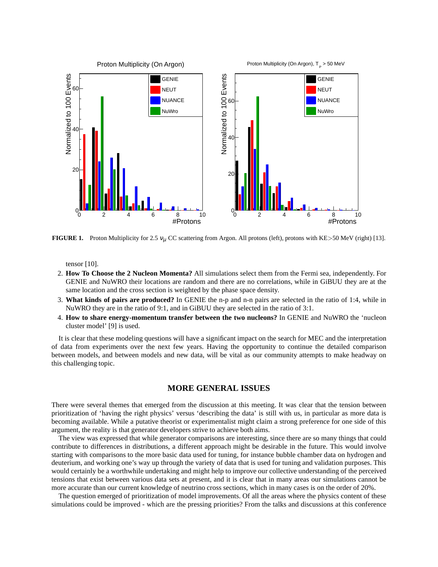

**FIGURE 1.** Proton Multiplicity for 2.5  $v_{\mu}$  CC scattering from Argon. All protons (left), protons with KE>50 MeV (right) [13].

tensor [10].

- 2. **How To Choose the 2 Nucleon Momenta?** All simulations select them from the Fermi sea, independently. For GENIE and NuWRO their locations are random and there are no correlations, while in GiBUU they are at the same location and the cross section is weighted by the phase space density.
- 3. **What kinds of pairs are produced?** In GENIE the n-p and n-n pairs are selected in the ratio of 1:4, while in NuWRO they are in the ratio of 9:1, and in GiBUU they are selected in the ratio of 3:1.
- 4. **How to share energy-momentum transfer between the two nucleons?** In GENIE and NuWRO the 'nucleon cluster model' [9] is used.

It is clear that these modeling questions will have a significant impact on the search for MEC and the interpretation of data from experiments over the next few years. Having the opportunity to continue the detailed comparison between models, and between models and new data, will be vital as our community attempts to make headway on this challenging topic.

# **MORE GENERAL ISSUES**

There were several themes that emerged from the discussion at this meeting. It was clear that the tension between prioritization of 'having the right physics' versus 'describing the data' is still with us, in particular as more data is becoming available. While a putative theorist or experimentalist might claim a strong preference for one side of this argument, the reality is that generator developers strive to achieve both aims.

The view was expressed that while generator comparisons are interesting, since there are so many things that could contribute to differences in distributions, a different approach might be desirable in the future. This would involve starting with comparisons to the more basic data used for tuning, for instance bubble chamber data on hydrogen and deuterium, and working one's way up through the variety of data that is used for tuning and validation purposes. This would certainly be a worthwhile undertaking and might help to improve our collective understanding of the perceived tensions that exist between various data sets at present, and it is clear that in many areas our simulations cannot be more accurate than our current knowledge of neutrino cross sections, which in many cases is on the order of 20%.

The question emerged of prioritization of model improvements. Of all the areas where the physics content of these simulations could be improved - which are the pressing priorities? From the talks and discussions at this conference